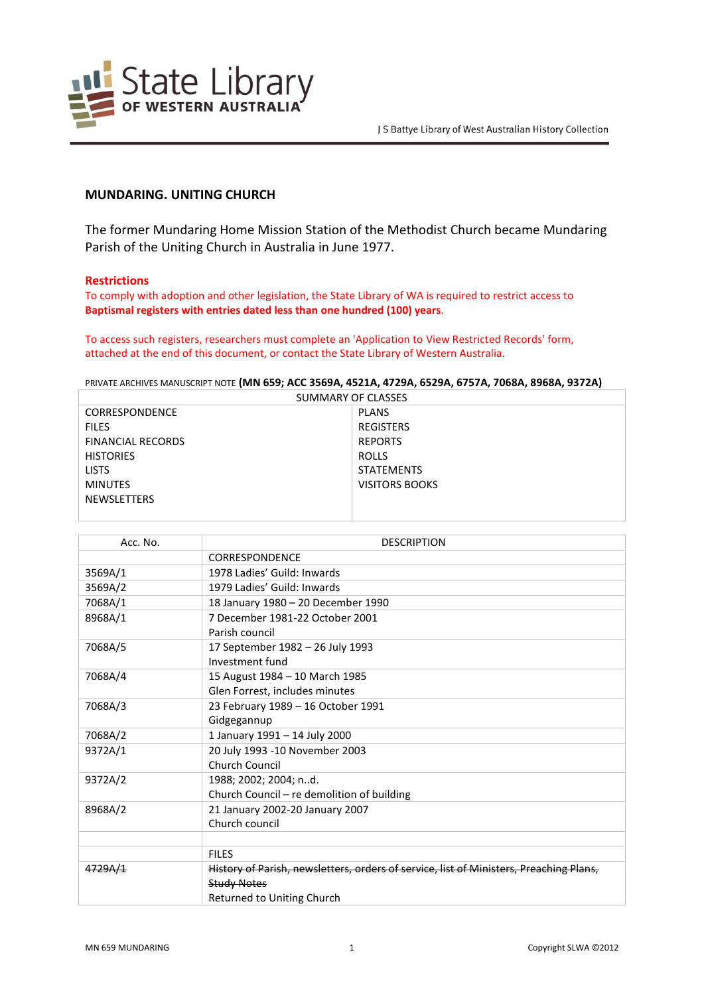

# **MUNDARING. UNITING CHURCH**

The former Mundaring Home Mission Station of the Methodist Church became Mundaring Parish of the Uniting Church in Australia in June 1977.

#### **Restrictions**

To comply with adoption and other legislation, the State Library of WA is required to restrict access to **Baptismal registers with entries dated less than one hundred (100) years**.

To access such registers, researchers must complete an 'Application to View Restricted Records' form, attached at the end of this document, or contact the State Library of Western Australia.

PRIVATE ARCHIVES MANUSCRIPT NOTE **(MN 659; ACC 3569A, 4521A, 4729A, 6529A, 6757A, 7068A, 8968A, 9372A)**

| SUMMARY OF CLASSES       |                   |  |
|--------------------------|-------------------|--|
| <b>CORRESPONDENCE</b>    | <b>PLANS</b>      |  |
| <b>FILES</b>             | <b>REGISTERS</b>  |  |
| <b>FINANCIAL RECORDS</b> | <b>REPORTS</b>    |  |
| <b>HISTORIES</b>         | ROLLS             |  |
| <b>LISTS</b>             | <b>STATEMENTS</b> |  |
| <b>MINUTES</b>           | VISITORS BOOKS    |  |
| <b>NEWSLETTERS</b>       |                   |  |
|                          |                   |  |

| Acc. No. | <b>DESCRIPTION</b>                                                                     |
|----------|----------------------------------------------------------------------------------------|
|          | <b>CORRESPONDENCE</b>                                                                  |
| 3569A/1  | 1978 Ladies' Guild: Inwards                                                            |
| 3569A/2  | 1979 Ladies' Guild: Inwards                                                            |
| 7068A/1  | 18 January 1980 - 20 December 1990                                                     |
| 8968A/1  | 7 December 1981-22 October 2001                                                        |
|          | Parish council                                                                         |
| 7068A/5  | 17 September 1982 - 26 July 1993                                                       |
|          | Investment fund                                                                        |
| 7068A/4  | 15 August 1984 - 10 March 1985                                                         |
|          | Glen Forrest, includes minutes                                                         |
| 7068A/3  | 23 February 1989 - 16 October 1991                                                     |
|          | Gidgegannup                                                                            |
| 7068A/2  | 1 January 1991 - 14 July 2000                                                          |
| 9372A/1  | 20 July 1993 -10 November 2003                                                         |
|          | Church Council                                                                         |
| 9372A/2  | 1988; 2002; 2004; nd.                                                                  |
|          | Church Council - re demolition of building                                             |
| 8968A/2  | 21 January 2002-20 January 2007                                                        |
|          | Church council                                                                         |
|          |                                                                                        |
|          | <b>FILES</b>                                                                           |
| 4729A/1  | History of Parish, newsletters, orders of service, list of Ministers, Preaching Plans, |
|          | <b>Study Notes</b>                                                                     |
|          | Returned to Uniting Church                                                             |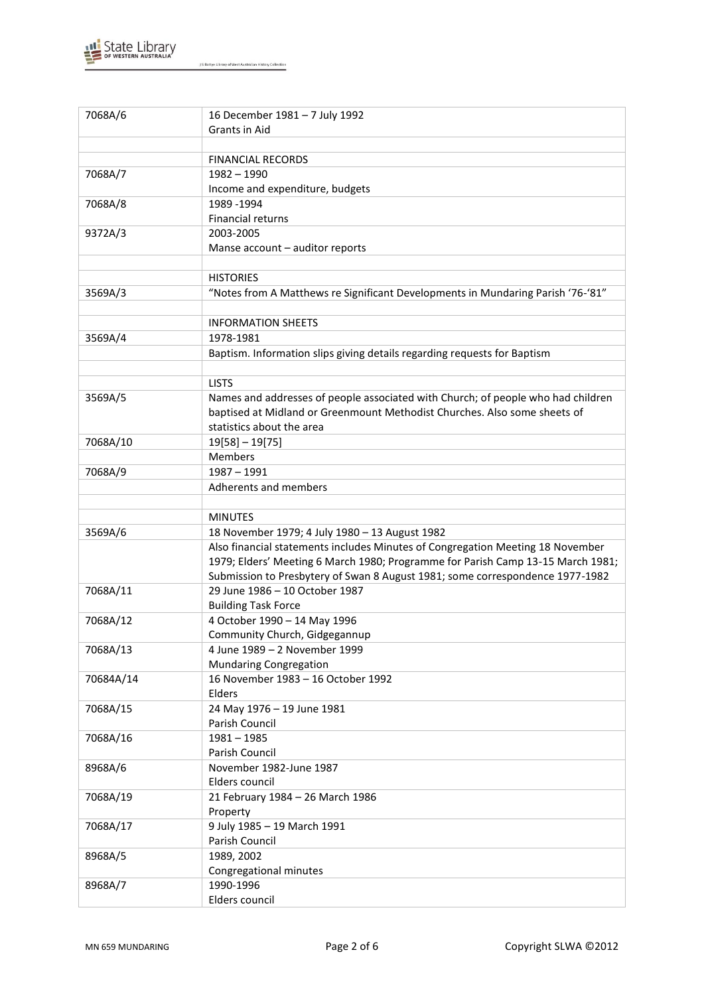

| 7068A/6   | 16 December 1981 - 7 July 1992                                                   |
|-----------|----------------------------------------------------------------------------------|
|           | Grants in Aid                                                                    |
|           |                                                                                  |
|           | <b>FINANCIAL RECORDS</b>                                                         |
| 7068A/7   | $1982 - 1990$                                                                    |
|           | Income and expenditure, budgets                                                  |
| 7068A/8   | 1989 - 1994                                                                      |
|           | Financial returns                                                                |
| 9372A/3   | 2003-2005                                                                        |
|           | Manse account - auditor reports                                                  |
|           |                                                                                  |
|           | <b>HISTORIES</b>                                                                 |
|           | "Notes from A Matthews re Significant Developments in Mundaring Parish '76-'81"  |
| 3569A/3   |                                                                                  |
|           |                                                                                  |
|           | <b>INFORMATION SHEETS</b>                                                        |
| 3569A/4   | 1978-1981                                                                        |
|           | Baptism. Information slips giving details regarding requests for Baptism         |
|           |                                                                                  |
|           | <b>LISTS</b>                                                                     |
| 3569A/5   | Names and addresses of people associated with Church; of people who had children |
|           | baptised at Midland or Greenmount Methodist Churches. Also some sheets of        |
|           | statistics about the area                                                        |
| 7068A/10  | $19[58] - 19[75]$                                                                |
|           | Members                                                                          |
| 7068A/9   | $1987 - 1991$                                                                    |
|           | Adherents and members                                                            |
|           |                                                                                  |
|           | <b>MINUTES</b>                                                                   |
| 3569A/6   | 18 November 1979; 4 July 1980 - 13 August 1982                                   |
|           | Also financial statements includes Minutes of Congregation Meeting 18 November   |
|           | 1979; Elders' Meeting 6 March 1980; Programme for Parish Camp 13-15 March 1981;  |
|           | Submission to Presbytery of Swan 8 August 1981; some correspondence 1977-1982    |
| 7068A/11  | 29 June 1986 - 10 October 1987                                                   |
|           | <b>Building Task Force</b>                                                       |
| 7068A/12  | 4 October 1990 - 14 May 1996                                                     |
|           | Community Church, Gidgegannup                                                    |
| 7068A/13  | 4 June 1989 - 2 November 1999                                                    |
|           | <b>Mundaring Congregation</b>                                                    |
| 70684A/14 | 16 November 1983 - 16 October 1992                                               |
|           | Elders                                                                           |
| 7068A/15  | 24 May 1976 - 19 June 1981                                                       |
|           | Parish Council                                                                   |
|           |                                                                                  |
| 7068A/16  | $1981 - 1985$                                                                    |
|           | Parish Council                                                                   |
| 8968A/6   | November 1982-June 1987                                                          |
|           | Elders council                                                                   |
| 7068A/19  | 21 February 1984 - 26 March 1986                                                 |
|           | Property                                                                         |
| 7068A/17  | 9 July 1985 - 19 March 1991                                                      |
|           | Parish Council                                                                   |
| 8968A/5   | 1989, 2002                                                                       |
|           | Congregational minutes                                                           |
| 8968A/7   | 1990-1996                                                                        |
|           | Elders council                                                                   |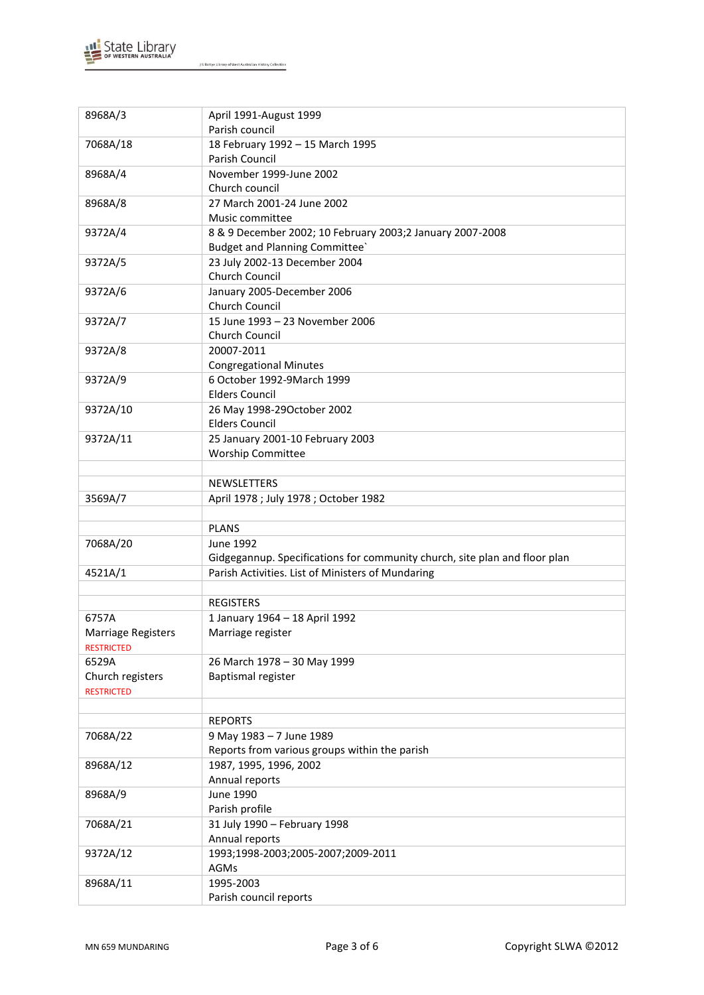

8968A/3 April 1991-August 1999

J S Battye Library of West Australian History Collection

| Parish council                                                             |
|----------------------------------------------------------------------------|
| 18 February 1992 - 15 March 1995                                           |
| Parish Council                                                             |
| November 1999-June 2002                                                    |
| Church council                                                             |
| 27 March 2001-24 June 2002                                                 |
| Music committee                                                            |
| 8 & 9 December 2002; 10 February 2003;2 January 2007-2008                  |
| <b>Budget and Planning Committee</b>                                       |
| 23 July 2002-13 December 2004                                              |
| Church Council                                                             |
| January 2005-December 2006                                                 |
| Church Council                                                             |
| 15 June 1993 - 23 November 2006                                            |
| Church Council                                                             |
| 20007-2011                                                                 |
| <b>Congregational Minutes</b>                                              |
| 6 October 1992-9March 1999                                                 |
| <b>Elders Council</b>                                                      |
| 26 May 1998-29October 2002                                                 |
| <b>Elders Council</b>                                                      |
| 25 January 2001-10 February 2003                                           |
| <b>Worship Committee</b>                                                   |
|                                                                            |
| <b>NEWSLETTERS</b>                                                         |
| April 1978 ; July 1978 ; October 1982                                      |
|                                                                            |
| <b>PLANS</b>                                                               |
| June 1992                                                                  |
| Gidgegannup. Specifications for community church, site plan and floor plan |
| Parish Activities. List of Ministers of Mundaring                          |
|                                                                            |
| <b>REGISTERS</b>                                                           |
| 1 January 1964 - 18 April 1992                                             |
| Marriage register                                                          |
|                                                                            |
| 26 March 1978 - 30 May 1999                                                |
| Baptismal register                                                         |
|                                                                            |
|                                                                            |
| <b>REPORTS</b>                                                             |
| 9 May 1983 - 7 June 1989                                                   |
| Reports from various groups within the parish                              |
| 1987, 1995, 1996, 2002                                                     |
| Annual reports                                                             |
| June 1990                                                                  |
| Parish profile                                                             |
| 31 July 1990 - February 1998                                               |
| Annual reports                                                             |
| 1993;1998-2003;2005-2007;2009-2011                                         |
|                                                                            |
|                                                                            |
| AGMs<br>1995-2003                                                          |
|                                                                            |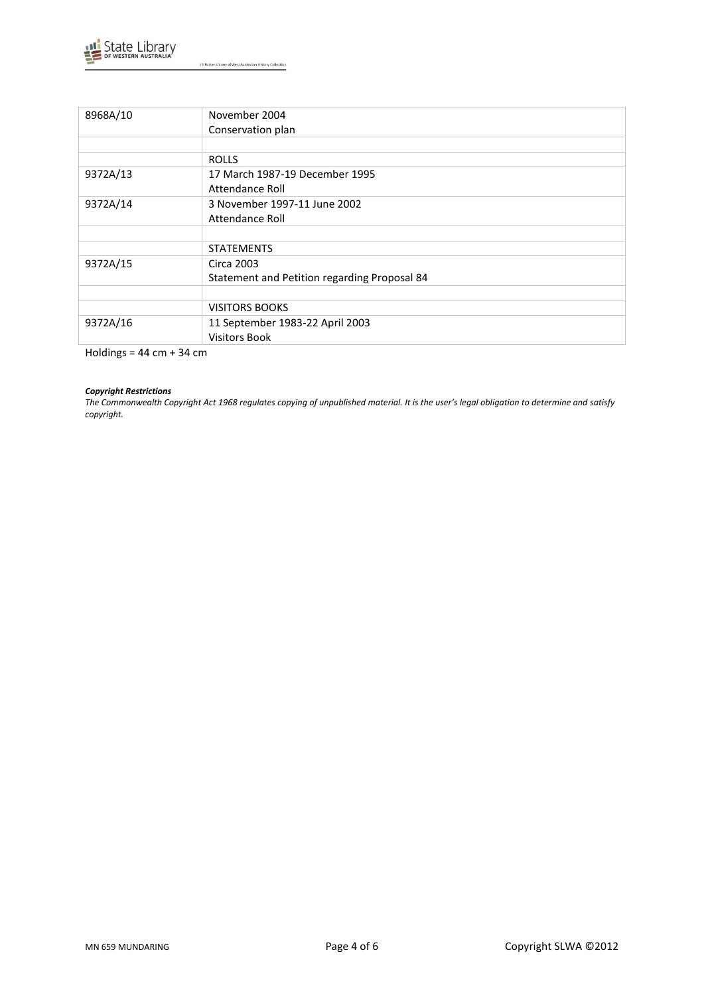

J S Battye Library of West Australian History Collection

| 8968A/10 | November 2004                                |
|----------|----------------------------------------------|
|          | Conservation plan                            |
|          |                                              |
|          | <b>ROLLS</b>                                 |
| 9372A/13 | 17 March 1987-19 December 1995               |
|          | Attendance Roll                              |
| 9372A/14 | 3 November 1997-11 June 2002                 |
|          | Attendance Roll                              |
|          |                                              |
|          | <b>STATEMENTS</b>                            |
| 9372A/15 | Circa 2003                                   |
|          | Statement and Petition regarding Proposal 84 |
|          |                                              |
|          | <b>VISITORS BOOKS</b>                        |
| 9372A/16 | 11 September 1983-22 April 2003              |
|          | <b>Visitors Book</b>                         |

Holdings = 44 cm + 34 cm

#### *Copyright Restrictions*

*The Commonwealth Copyright Act 1968 regulates copying of unpublished material. It is the user's legal obligation to determine and satisfy copyright.*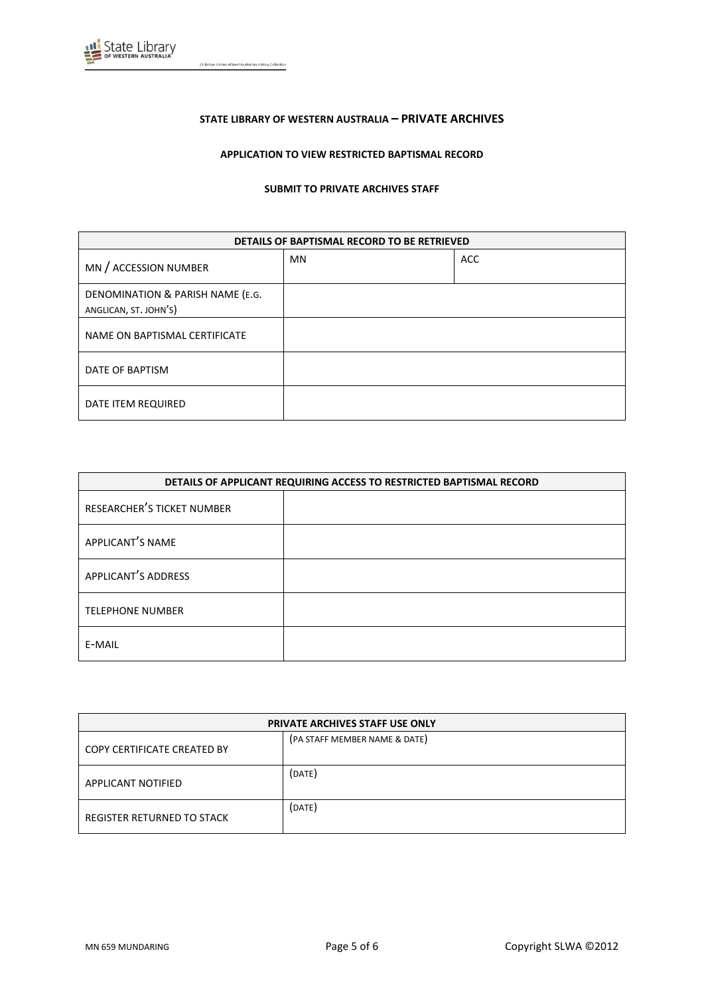

J S Battye Library of West Australian History Collection

# **STATE LIBRARY OF WESTERN AUSTRALIA – PRIVATE ARCHIVES**

# **APPLICATION TO VIEW RESTRICTED BAPTISMAL RECORD**

#### **SUBMIT TO PRIVATE ARCHIVES STAFF**

| DETAILS OF BAPTISMAL RECORD TO BE RETRIEVED               |           |            |
|-----------------------------------------------------------|-----------|------------|
| MN / ACCESSION NUMBER                                     | <b>MN</b> | <b>ACC</b> |
| DENOMINATION & PARISH NAME (E.G.<br>ANGLICAN, ST. JOHN'S) |           |            |
| NAME ON BAPTISMAL CERTIFICATE                             |           |            |
| DATE OF BAPTISM                                           |           |            |
| DATE ITEM REQUIRED                                        |           |            |

| DETAILS OF APPLICANT REQUIRING ACCESS TO RESTRICTED BAPTISMAL RECORD |  |
|----------------------------------------------------------------------|--|
| RESEARCHER'S TICKET NUMBER                                           |  |
| APPLICANT'S NAME                                                     |  |
| APPLICANT'S ADDRESS                                                  |  |
| <b>TELEPHONE NUMBER</b>                                              |  |
| E-MAIL                                                               |  |

| <b>PRIVATE ARCHIVES STAFF USE ONLY</b> |                               |
|----------------------------------------|-------------------------------|
| COPY CERTIFICATE CREATED BY            | (PA STAFF MEMBER NAME & DATE) |
| APPLICANT NOTIFIED                     | (DATE)                        |
| REGISTER RETURNED TO STACK             | (DATE)                        |